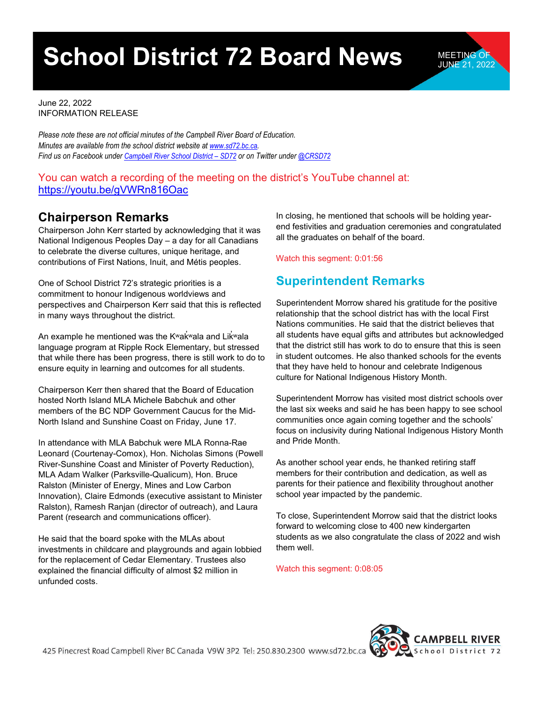# **School District 72 Board News** MEETING OF

June 22, 2022 INFORMATION RELEASE

*Please note these are not official minutes of the Campbell River Board of Education. Minutes are available from the school district website a[t www.sd72.bc.ca.](http://www.sd72.bc.ca/) Find us on Facebook under [Campbell River School District – SD72 o](https://www.facebook.com/crsd72/)r on Twitter unde[r @CRSD72](https://twitter.com/CRSD72)*

#### You can watch a recording of the meeting on the district's YouTube channel at: <https://youtu.be/gVWRn816Oac>

### **Chairperson Remarks**

Chairperson John Kerr started by acknowledging that it was National Indigenous Peoples Day – a day for all Canadians to celebrate the diverse cultures, unique heritage, and contributions of First Nations, Inuit, and Métis peoples.

One of School District 72's strategic priorities is a commitment to honour Indigenous worldviews and perspectives and Chairperson Kerr said that this is reflected in many ways throughout the district.

An example he mentioned was the Kʷak̓ʷala and Lik̓ʷala language program at Ripple Rock Elementary, but stressed that while there has been progress, there is still work to do to ensure equity in learning and outcomes for all students.

Chairperson Kerr then shared that the Board of Education hosted North Island MLA Michele Babchuk and other members of the BC NDP Government Caucus for the Mid-North Island and Sunshine Coast on Friday, June 17.

In attendance with MLA Babchuk were MLA Ronna-Rae Leonard (Courtenay-Comox), Hon. Nicholas Simons (Powell River-Sunshine Coast and Minister of Poverty Reduction), MLA Adam Walker (Parksville-Qualicum), Hon. Bruce Ralston (Minister of Energy, Mines and Low Carbon Innovation), Claire Edmonds (executive assistant to Minister Ralston), Ramesh Ranjan (director of outreach), and Laura Parent (research and communications officer).

He said that the board spoke with the MLAs about investments in childcare and playgrounds and again lobbied for the replacement of Cedar Elementary. Trustees also explained the financial difficulty of almost \$2 million in unfunded costs.

In closing, he mentioned that schools will be holding yearend festivities and graduation ceremonies and congratulated all the graduates on behalf of the board.

Watch this segment: 0:01:56

### **Superintendent Remarks**

Superintendent Morrow shared his gratitude for the positive relationship that the school district has with the local First Nations communities. He said that the district believes that all students have equal gifts and attributes but acknowledged that the district still has work to do to ensure that this is seen in student outcomes. He also thanked schools for the events that they have held to honour and celebrate Indigenous culture for National Indigenous History Month.

Superintendent Morrow has visited most district schools over the last six weeks and said he has been happy to see school communities once again coming together and the schools' focus on inclusivity during National Indigenous History Month and Pride Month.

As another school year ends, he thanked retiring staff members for their contribution and dedication, as well as parents for their patience and flexibility throughout another school year impacted by the pandemic.

To close, Superintendent Morrow said that the district looks forward to welcoming close to 400 new kindergarten students as we also congratulate the class of 2022 and wish them well.

Watch this segment: 0:08:05

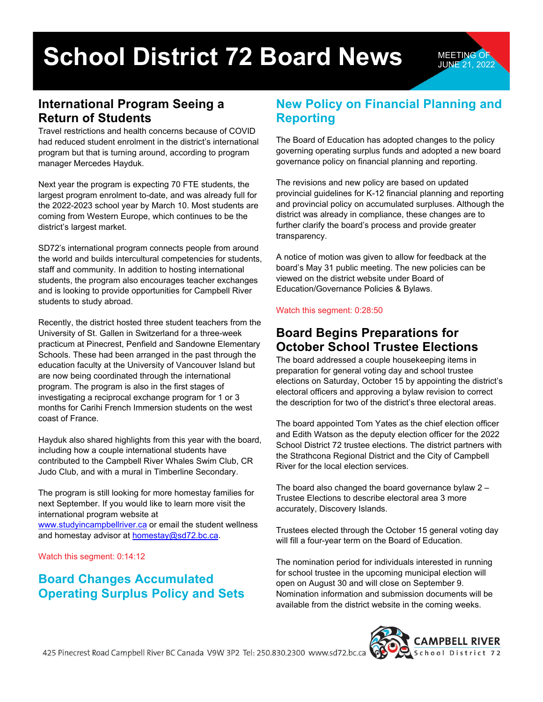# **School District 72 Board News MEETING OF**

### **International Program Seeing a Return of Students**

Travel restrictions and health concerns because of COVID had reduced student enrolment in the district's international program but that is turning around, according to program manager Mercedes Hayduk.

Next year the program is expecting 70 FTE students, the largest program enrolment to-date, and was already full for the 2022-2023 school year by March 10. Most students are coming from Western Europe, which continues to be the district's largest market.

SD72's international program connects people from around the world and builds intercultural competencies for students, staff and community. In addition to hosting international students, the program also encourages teacher exchanges and is looking to provide opportunities for Campbell River students to study abroad.

Recently, the district hosted three student teachers from the University of St. Gallen in Switzerland for a three-week practicum at Pinecrest, Penfield and Sandowne Elementary Schools. These had been arranged in the past through the education faculty at the University of Vancouver Island but are now being coordinated through the international program. The program is also in the first stages of investigating a reciprocal exchange program for 1 or 3 months for Carihi French Immersion students on the west coast of France.

Hayduk also shared highlights from this year with the board, including how a couple international students have contributed to the Campbell River Whales Swim Club, CR Judo Club, and with a mural in Timberline Secondary.

The program is still looking for more homestay families for next September. If you would like to learn more visit the international program website at [www.studyincampbellriver.ca](http://www.studyincampbellriver.ca/) or email the student wellness and homestay advisor at [homestay@sd72.bc.ca.](mailto:homestay@sd72.bc.ca)

Watch this segment: 0:14:12

### **Board Changes Accumulated Operating Surplus Policy and Sets**

#### **New Policy on Financial Planning and Reporting**

JUNE 21, 2022

The Board of Education has adopted changes to the policy governing operating surplus funds and adopted a new board governance policy on financial planning and reporting.

The revisions and new policy are based on updated provincial guidelines for K-12 financial planning and reporting and provincial policy on accumulated surpluses. Although the district was already in compliance, these changes are to further clarify the board's process and provide greater transparency.

A notice of motion was given to allow for feedback at the board's May 31 public meeting. The new policies can be viewed on the district website under Board of Education/Governance Policies & Bylaws.

#### Watch this segment: 0:28:50

#### **Board Begins Preparations for October School Trustee Elections**

The board addressed a couple housekeeping items in preparation for general voting day and school trustee elections on Saturday, October 15 by appointing the district's electoral officers and approving a bylaw revision to correct the description for two of the district's three electoral areas.

The board appointed Tom Yates as the chief election officer and Edith Watson as the deputy election officer for the 2022 School District 72 trustee elections. The district partners with the Strathcona Regional District and the City of Campbell River for the local election services.

The board also changed the board governance bylaw 2 – Trustee Elections to describe electoral area 3 more accurately, Discovery Islands.

Trustees elected through the October 15 general voting day will fill a four-year term on the Board of Education.

The nomination period for individuals interested in running for school trustee in the upcoming municipal election will open on August 30 and will close on September 9. Nomination information and submission documents will be available from the district website in the coming weeks.